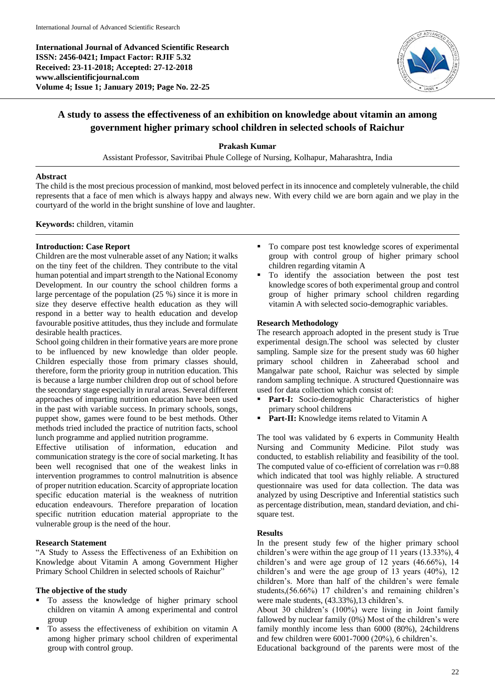**International Journal of Advanced Scientific Research ISSN: 2456-0421; Impact Factor: RJIF 5.32 Received: 23-11-2018; Accepted: 27-12-2018 www.allscientificjournal.com Volume 4; Issue 1; January 2019; Page No. 22-25**



# **A study to assess the effectiveness of an exhibition on knowledge about vitamin an among government higher primary school children in selected schools of Raichur**

#### **Prakash Kumar**

Assistant Professor, Savitribai Phule College of Nursing, Kolhapur, Maharashtra, India

#### **Abstract**

The child is the most precious procession of mankind, most beloved perfect in its innocence and completely vulnerable, the child represents that a face of men which is always happy and always new. With every child we are born again and we play in the courtyard of the world in the bright sunshine of love and laughter.

**Keywords:** children, vitamin

#### **Introduction: Case Report**

Children are the most vulnerable asset of any Nation; it walks on the tiny feet of the children. They contribute to the vital human potential and impart strength to the National Economy Development. In our country the school children forms a large percentage of the population (25 %) since it is more in size they deserve effective health education as they will respond in a better way to health education and develop favourable positive attitudes, thus they include and formulate desirable health practices.

School going children in their formative years are more prone to be influenced by new knowledge than older people. Children especially those from primary classes should, therefore, form the priority group in nutrition education. This is because a large number children drop out of school before the secondary stage especially in rural areas. Several different approaches of imparting nutrition education have been used in the past with variable success. In primary schools, songs, puppet show, games were found to be best methods. Other methods tried included the practice of nutrition facts, school lunch programme and applied nutrition programme.

Effective utilisation of information, education and communication strategy is the core of social marketing. It has been well recognised that one of the weakest links in intervention programmes to control malnutrition is absence of proper nutrition education. Scarcity of appropriate location specific education material is the weakness of nutrition education endeavours. Therefore preparation of location specific nutrition education material appropriate to the vulnerable group is the need of the hour.

# **Research Statement**

"A Study to Assess the Effectiveness of an Exhibition on Knowledge about Vitamin A among Government Higher Primary School Children in selected schools of Raichur"

# **The objective of the study**

- To assess the knowledge of higher primary school children on vitamin A among experimental and control group
- To assess the effectiveness of exhibition on vitamin A among higher primary school children of experimental group with control group.
- To compare post test knowledge scores of experimental group with control group of higher primary school children regarding vitamin A
- To identify the association between the post test knowledge scores of both experimental group and control group of higher primary school children regarding vitamin A with selected socio-demographic variables.

# **Research Methodology**

The research approach adopted in the present study is True experimental design.The school was selected by cluster sampling. Sample size for the present study was 60 higher primary school children in Zaheerabad school and Mangalwar pate school, Raichur was selected by simple random sampling technique. A structured Questionnaire was used for data collection which consist of:

- **Part-I:** Socio-demographic Characteristics of higher primary school childrens
- Part-II: Knowledge items related to Vitamin A

The tool was validated by 6 experts in Community Health Nursing and Community Medicine. Pilot study was conducted, to establish reliability and feasibility of the tool. The computed value of co-efficient of correlation was r=0.88 which indicated that tool was highly reliable. A structured questionnaire was used for data collection. The data was analyzed by using Descriptive and Inferential statistics such as percentage distribution, mean, standard deviation, and chisquare test.

# **Results**

In the present study few of the higher primary school children's were within the age group of 11 years (13.33%), 4 children's and were age group of 12 years (46.66%), 14 children's and were the age group of 13 years (40%), 12 children's. More than half of the children's were female students,(56.66%) 17 children's and remaining children's were male students, (43.33%),13 children's.

About 30 children's (100%) were living in Joint family fallowed by nuclear family (0%) Most of the children's were family monthly income less than 6000 (80%), 24childrens and few children were 6001-7000 (20%), 6 children's.

Educational background of the parents were most of the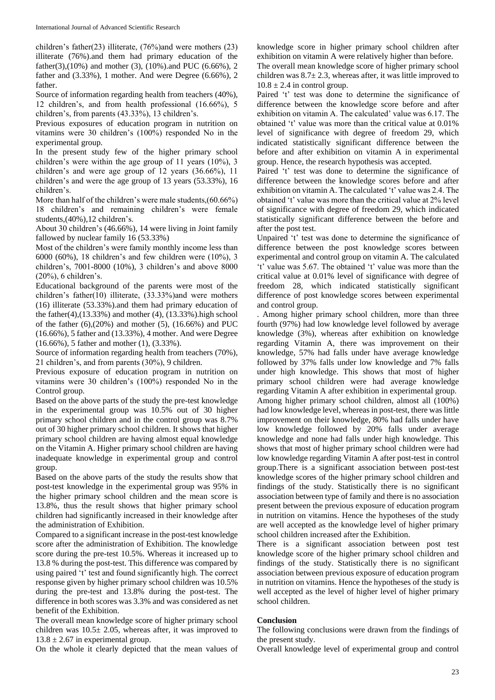children's father(23) illiterate, (76%)and were mothers (23) illiterate (76%).and them had primary education of the father(3),(10%) and mother (3), (10%).and PUC (6.66%), 2 father and (3.33%), 1 mother. And were Degree (6.66%), 2 father.

Source of information regarding health from teachers (40%), 12 children's, and from health professional (16.66%), 5 children's, from parents (43.33%), 13 children's.

Previous exposures of education program in nutrition on vitamins were 30 children's (100%) responded No in the experimental group.

In the present study few of the higher primary school children's were within the age group of 11 years (10%), 3 children's and were age group of 12 years (36.66%), 11 children's and were the age group of 13 years (53.33%), 16 children's.

More than half of the children's were male students,(60.66%) 18 children's and remaining children's were female students,(40%),12 children's.

About 30 children's (46.66%), 14 were living in Joint family fallowed by nuclear family 16 (53.33%)

Most of the children's were family monthly income less than 6000 (60%), 18 children's and few children were (10%), 3 children's, 7001-8000 (10%), 3 children's and above 8000 (20%), 6 children's.

Educational background of the parents were most of the children's father(10) illiterate, (33.33%)and were mothers (16) illiterate (53.33%).and them had primary education of the father(4),(13.33%) and mother (4), (13.33%).high school of the father  $(6)$ , $(20\%)$  and mother  $(5)$ ,  $(16.66\%)$  and PUC (16.66%), 5 father and (13.33%), 4 mother. And were Degree (16.66%), 5 father and mother (1), (3.33%).

Source of information regarding health from teachers (70%), 21 children's, and from parents (30%), 9 children.

Previous exposure of education program in nutrition on vitamins were 30 children's (100%) responded No in the Control group.

Based on the above parts of the study the pre-test knowledge in the experimental group was 10.5% out of 30 higher primary school children and in the control group was 8.7% out of 30 higher primary school children. It shows that higher primary school children are having almost equal knowledge on the Vitamin A. Higher primary school children are having inadequate knowledge in experimental group and control group.

Based on the above parts of the study the results show that post-test knowledge in the experimental group was 95% in the higher primary school children and the mean score is 13.8%, thus the result shows that higher primary school children had significantly increased in their knowledge after the administration of Exhibition.

Compared to a significant increase in the post-test knowledge score after the administration of Exhibition. The knowledge score during the pre-test 10.5%. Whereas it increased up to 13.8 % during the post-test. This difference was compared by using paired 't' test and found significantly high. The correct response given by higher primary school children was 10.5% during the pre-test and 13.8% during the post-test. The difference in both scores was 3.3% and was considered as net benefit of the Exhibition.

The overall mean knowledge score of higher primary school children was  $10.5 \pm 2.05$ , whereas after, it was improved to  $13.8 \pm 2.67$  in experimental group.

On the whole it clearly depicted that the mean values of

knowledge score in higher primary school children after exhibition on vitamin A were relatively higher than before. The overall mean knowledge score of higher primary school children was  $8.7 \pm 2.3$ , whereas after, it was little improved to  $10.8 \pm 2.4$  in control group.

Paired 't' test was done to determine the significance of difference between the knowledge score before and after exhibition on vitamin A. The calculated' value was 6.17. The obtained 't' value was more than the critical value at 0.01% level of significance with degree of freedom 29, which indicated statistically significant difference between the before and after exhibition on vitamin A in experimental group. Hence, the research hypothesis was accepted.

Paired 't' test was done to determine the significance of difference between the knowledge scores before and after exhibition on vitamin A. The calculated 't' value was 2.4. The obtained 't' value was more than the critical value at 2% level of significance with degree of freedom 29, which indicated statistically significant difference between the before and after the post test.

Unpaired 't' test was done to determine the significance of difference between the post knowledge scores between experimental and control group on vitamin A. The calculated 't' value was 5.67. The obtained 't' value was more than the critical value at 0.01% level of significance with degree of freedom 28, which indicated statistically significant difference of post knowledge scores between experimental and control group.

. Among higher primary school children, more than three fourth (97%) had low knowledge level followed by average knowledge (3%), whereas after exhibition on knowledge regarding Vitamin A, there was improvement on their knowledge, 57% had falls under have average knowledge followed by 37% falls under low knowledge and 7% falls under high knowledge. This shows that most of higher primary school children were had average knowledge regarding Vitamin A after exhibition in experimental group. Among higher primary school children, almost all (100%) had low knowledge level, whereas in post-test, there was little improvement on their knowledge, 80% had falls under have low knowledge followed by 20% falls under average knowledge and none had falls under high knowledge. This shows that most of higher primary school children were had low knowledge regarding Vitamin A after post-test in control group.There is a significant association between post-test knowledge scores of the higher primary school children and findings of the study. Statistically there is no significant association between type of family and there is no association present between the previous exposure of education program in nutrition on vitamins. Hence the hypotheses of the study are well accepted as the knowledge level of higher primary school children increased after the Exhibition.

There is a significant association between post test knowledge score of the higher primary school children and findings of the study. Statistically there is no significant association between previous exposure of education program in nutrition on vitamins. Hence the hypotheses of the study is well accepted as the level of higher level of higher primary school children.

# **Conclusion**

The following conclusions were drawn from the findings of the present study.

Overall knowledge level of experimental group and control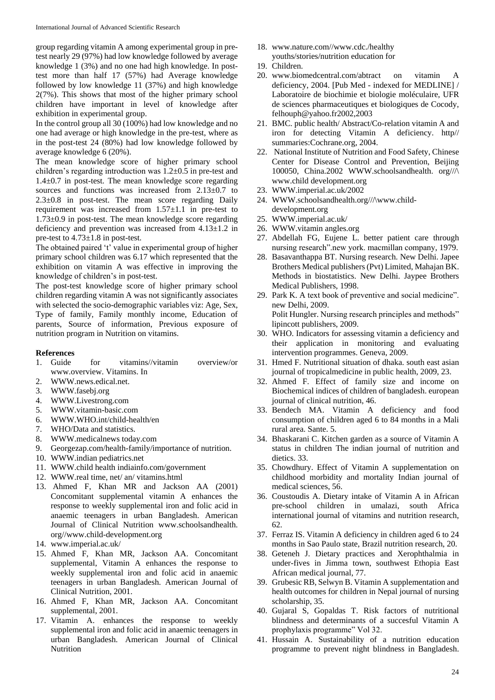group regarding vitamin A among experimental group in pretest nearly 29 (97%) had low knowledge followed by average knowledge 1 (3%) and no one had high knowledge. In posttest more than half 17 (57%) had Average knowledge followed by low knowledge 11 (37%) and high knowledge 2(7%). This shows that most of the higher primary school children have important in level of knowledge after exhibition in experimental group.

In the control group all 30 (100%) had low knowledge and no one had average or high knowledge in the pre-test, where as in the post-test 24 (80%) had low knowledge followed by average knowledge 6 (20%).

The mean knowledge score of higher primary school children's regarding introduction was 1.2±0.5 in pre-test and  $1.4\pm0.7$  in post-test. The mean knowledge score regarding sources and functions was increased from  $2.13\pm0.7$  to 2.3±0.8 in post-test. The mean score regarding Daily requirement was increased from  $1.57\pm1.1$  in pre-test to 1.73±0.9 in post-test. The mean knowledge score regarding deficiency and prevention was increased from 4.13±1.2 in pre-test to 4.73±1.8 in post-test.

The obtained paired 't' value in experimental group of higher primary school children was 6.17 which represented that the exhibition on vitamin A was effective in improving the knowledge of children's in post-test.

The post-test knowledge score of higher primary school children regarding vitamin A was not significantly associates with selected the socio-demographic variables viz: Age, Sex, Type of family, Family monthly income, Education of parents, Source of information, Previous exposure of nutrition program in Nutrition on vitamins.

#### **References**

- 1. Guide for vitamins//vitamin overview/or www.overview. Vitamins. In
- 2. WWW.news.edical.net.
- 
- 3. WWW.fasebj.org 4. WWW.Livestrong.com
- 5. WWW.vitamin-basic.com
- 6. WWW.WHO.int/child-health/en
- 7. WHO/Data and statistics.<br>8. WWW.medicalnews toda
- 8. WWW.medicalnews today.com
- 9. Georgezap.com/health-family/importance of nutrition.
- 10. WWW.indian pediatrics.net
- 11. WWW.child health indiainfo.com/government
- 12. WWW.real time, net/ an/ vitamins.html
- 13. Ahmed F, Khan MR and Jackson AA (2001) Concomitant supplemental vitamin A enhances the response to weekly supplemental iron and folic acid in anaemic teenagers in urban Bangladesh. American Journal of Clinical Nutrition www.schoolsandhealth. org//www.child-development.org
- 14. www.imperial.ac.uk/
- 15. Ahmed F, Khan MR, Jackson AA. Concomitant supplemental, Vitamin A enhances the response to weekly supplemental iron and folic acid in anaemic teenagers in urban Bangladesh. American Journal of Clinical Nutrition, 2001.
- 16. Ahmed F, Khan MR, Jackson AA. Concomitant supplemental, 2001.
- 17. Vitamin A. enhances the response to weekly supplemental iron and folic acid in anaemic teenagers in urban Bangladesh. American Journal of Clinical Nutrition
- 18. www.nature.com//www.cdc./healthy youths/stories/nutrition education for
- 19. Children.
- 20. www.biomedcentral.com/abtract on vitamin A deficiency, 2004. [Pub Med - indexed for MEDLINE] / Laboratoire de biochimie et biologie moléculaire, UFR de sciences pharmaceutiques et biologiques de Cocody, felhouph@yahoo.fr2002,2003
- 21. BMC. public health/ Abstract/Co-relation vitamin A and iron for detecting Vitamin A deficiency. http// summaries:Cochrane.org, 2004.
- 22. National Institute of Nutrition and Food Safety, Chinese Center for Disease Control and Prevention, Beijing 100050, China.2002 WWW.schoolsandhealth. org///\ www.child development.org
- 23. WWW.imperial.ac.uk/2002
- 24. WWW.schoolsandhealth.org///\www.childdevelopment.org
- 25. WWW.imperial.ac.uk/
- 26. WWW.vitamin angles.org
- 27. Abdellah FG, Eujene L. better patient care through nursing research".new york. macmillan company, 1979.
- 28. Basavanthappa BT. Nursing research. New Delhi. Japee Brothers Medical publishers(Pvt) Limited, Mahajan BK. Methods in biostatistics. New Delhi. Jaypee Brothers Medical Publishers, 1998.
- 29. Park K. A text book of preventive and social medicine". new Delhi, 2009. Polit Hungler. Nursing research principles and methods" lipincott publishers, 2009.
- 30. WHO. Indicators for assessing vitamin a deficiency and their application in monitoring and evaluating intervention programmes. Geneva, 2009.
- 31. Hmed F. Nutritional situation of dhaka. south east asian journal of tropicalmedicine in public health, 2009, 23.
- 32. Ahmed F. Effect of family size and income on Biochemical indices of children of bangladesh. european journal of clinical nutrition, 46.
- 33. Bendech MA. Vitamin A deficiency and food consumption of children aged 6 to 84 months in a Mali rural area. Sante. 5.
- 34. Bhaskarani C. Kitchen garden as a source of Vitamin A status in children The indian journal of nutrition and dietics. 33.
- 35. Chowdhury. Effect of Vitamin A supplementation on childhood morbidity and mortality Indian journal of medical sciences, 56.
- 36. Coustoudis A. Dietary intake of Vitamin A in African pre-school children in umalazi, south Africa international journal of vitamins and nutrition research, 62.
- 37. Ferraz IS. Vitamin A deficiency in children aged 6 to 24 months in Sao Paulo state, Brazil nutrition research, 20.
- 38. Geteneh J. Dietary practices and Xerophthalmia in under-fives in Jimma town, southwest Ethopia East African medical journal, 77.
- 39. Grubesic RB, Selwyn B. Vitamin A supplementation and health outcomes for children in Nepal journal of nursing scholarship, 35.
- 40. Gujaral S, Gopaldas T. Risk factors of nutritional blindness and determinants of a succesful Vitamin A prophylaxis programme" Vol 32.
- 41. Hussain A. Sustainability of a nutrition education programme to prevent night blindness in Bangladesh.